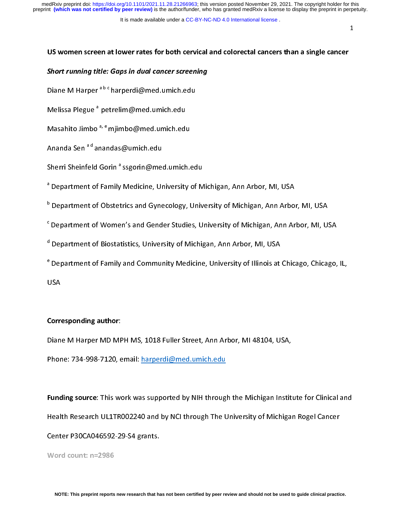### It is made available under a [CC-BY-NC-ND 4.0 International license](http://creativecommons.org/licenses/by-nc-nd/4.0/) .

# Short running title: Gaps in dual cancer screening<br>Diane M Harper <sup>a b c</sup> harperdi@med.umich.edu<br>Melissa Pleque <sup>a</sup> netrelim@med.umich.edu Short running title: Gaps in dual cancer screening

Diane M Harper <sup>a b c</sup> harperdi@med.umich.edu<br>Melissa Plegue <sup>a</sup> petrelim@med.umich.edu

Masahito Jimbo  $a, e$  mjimbo @med.umich.edu

Ananda Sen  $a^d$ anandas@umich.edu

Sherri Sheinfeld Gorin<sup>a</sup> ssgorin@med.umich.edu

Sherri Sheinfeld Gorin "ssgorin@med.umich.edu<br><sup>a</sup> Department of Family Medicine, University of N

Department of Child, Medicine, University of Michigan, Ann Arbor, Michigan, Ann Arbor, Michigan, Ann Arbor, Mi<br>B. Department of Obstetrics and Gynecology, University of Michigan, Ann Arbo

المسين المسيني المسيني المسيني المسيني المسيني والمسيني المسيني المسيني والمسيني المسيني والمسيني والمسيني وا<br>Chepartment of Women's and Gender Studies, University of Michigan, Ann Arbor, MI, U. في المسيني المسيني والمسي

department of Biostatistics, University of Michigan, Ann Arbor, MI, USA and General Ann Arbor, MI, USA and General A

e operations of Biostatistics, University of Annagen, Ann Arbor, Mi, USA<br>e Department of Family and Community Medicine, University of Illinois at Department of Family and Community Medicine, University of Illinois at Chicago, Chicago, IL,

# $\overline{a}$

Corresponding author:<br>Diane M Harper MD MPH MS, 1018 Fuller Street, Ann Arbor, MI 48104, USA,

Phone: 734-998-7120, email: harperdi@med.umich.edu Phone: 734-998-7120, email: harperdi@med.umich.edu

 $\frac{1}{2}$ Funding source: This work was supported by NIH through the Michigan Institute for Clinical and<br>Health Research UL1TR002240 and by NCI through The University of Michigan Rogel Cancer

Center P30CA046592-29-S4 grants.

Word count:  $n=2986$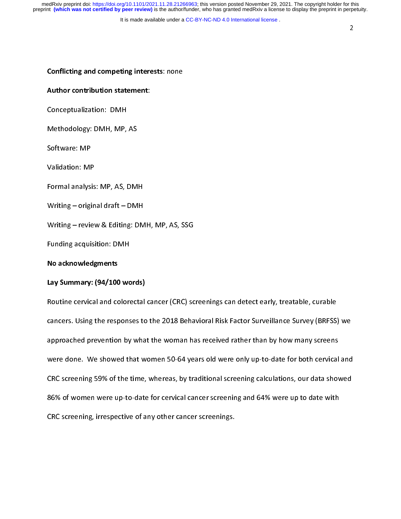It is made available under a CC-BY-NC-ND 4.0 International license.

2

# $\ddot{\phantom{0}}$ **Conflicting and competing interests: none**<br>Author contribution statement:<br>Conceptualization: DMH

Author contribution contribution<br>Conceptualization: DMH<br>Methodology: DMH, MP, AS<br>Software: MP erthodology: DMH. MP.<br>Methodology: DMH. MP.

Software: MP

Validation: MP

Formal analysis: MP, AS, DMH

Writing  $-$  original draft  $-$  DMH

Writing – review & Editing: DMH, MP, AS, SSG

Funding acquisition: DMH

No acknowledgments

La**y Summary: (94/100 words)**<br>Routine cervical and colorectal cancer (CRC) screenings can detect early, treatable, curable Lay Summary: (94, 200 words)<br>Routine cervical and colorectal<br>cancers. Using the responses to Routine cervical and colorectal cancer (CRC) screenings can detect early, treatable, curable<br>cancers. Using the responses to the 2018 Behavioral Risk Factor Surveillance Survey (BRFSS approached prevention by what the woman has received rather than by how many screens were done. We showed that women 50-64 years old were only up-to-date for both cervical and CRC screening 59% of the time, whereas, by traditional screening calculations, our data showed 86% of women were up-to-date for cervical cancer screening and 64% were up to date with CRC screening, irrespective of any other cancer screenings. CRC screening, irrespective of any other cancer screenings.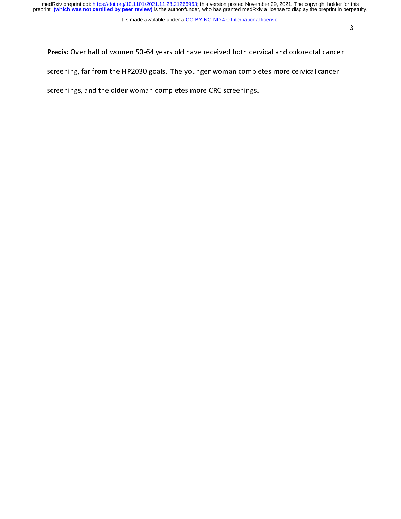medRxiv preprint doi: [https://doi.org/10.1101/2021.11.28.21266963;](https://doi.org/10.1101/2021.11.28.21266963) this version posted November 29, 2021. The copyright holder for this<br>preprint (which was not certified by peer review) is the author/funder, who has grante

### It is made available under a [CC-BY-NC-ND 4.0 International license](http://creativecommons.org/licenses/by-nc-nd/4.0/) .

Precis: Over half of women 50-64 years old have received both cervical and colorectal cancer<br>screening, far from the HP2030 goals. The younger woman completes more cervical cancer screenings, and the older woman completes more CRC screenings. screenings, and the older woman completes more CRC screenings.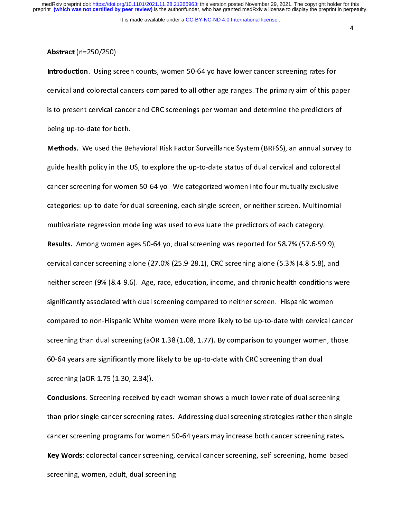4

Abstract (n=250/250)<br>Introduction. Using screen counts, women 50-64 yo have lower cancer screening rates for cervical and colorectal cancers compared to all other age ranges. The primary aim of this paper<br>is to present cervical cancer and CRC screenings per woman and determine the predictors of<br>being up-to-date for both. is to present cervical cancer and CRC screenings per woman and determine the predictors of is to present cervical cancer and CRC screenings per woman and determine the predictors of  $\mathcal{C}$  screenings per woman and determine the predictors of  $\mathcal{C}$ 

Methods. We used the Behavioral Risk Factor Surveillance System (BRFSS), an annual survey to guide health policy in the US, to explore the up-to-date status of dual cervical and colorectal cancer screening for women 50-64 yo. We categorized women into four mutually exclusive categories: up-to-date for dual screening, each single-screen, or neither screen. Multinomial multivariate regression modeling was used to evaluate the predictors of each category. **Results.** Among women ages 50-64 yo, dual screening was reported for 58.7% (57.6-59.9), cervical cancer screening alone  $(27.0% (25.9-28.1)$ , CRC screening alone  $(5.3% (4.8-5.8))$ , and neither screen (9% (8.4-9.6). Age, race, education, income, and chronic health conditions were significantly associated with dual screening compared to neither screen. Hispanic women compared to non-Hispanic White women were more likely to be up-to-date with cervical cancer screening than dual screening (aOR  $1.38$  (1.08, 1.77). By comparison to younger women, those 60-64 years are significantly more likely to be up-to-date with CRC screening than dual screening (aOR 1.75 (1.30, 2.34)).

Conclusions. Screening received by each woman shows a much lower rate of dual screening Conclude the concerning conclusions, proceeding conclusions a much lower conclusion of the single cancer screening rates. Addressing dual screening strategies rather than single cancer screening programs for women 50-64 ye than prior single cancer screening programs for women 50-64 vears may increase both cancer screening rates.<br>Cancer screening programs for women 50-64 vears may increase both cancer screening rates. Key Words: colorectal cancer screening, cervical cancer screening, self-screening, home-based Key Words: colorectal cancer screening, screening, self-screening, home-based cancer screening, home-based screening,  $\frac{1}{2}$ screening, women, adult, dual screening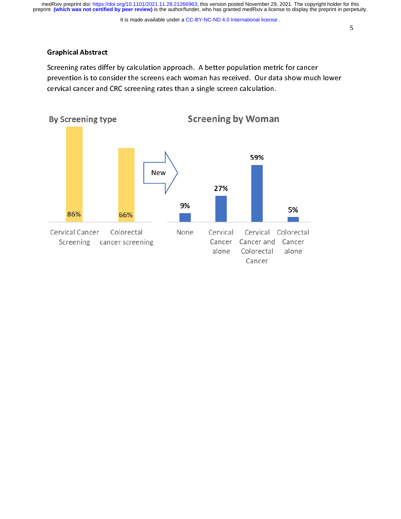It is made available under a CC-BY-NC-ND 4.0 International license.

5

Graphical Abstract<br>Screening rates differ by calculation approach. A better population metric for cancer prevention is to consider the screens each woman has received. Our data show much lower cervical cancer and CRC screening rates than a single screen calculation.

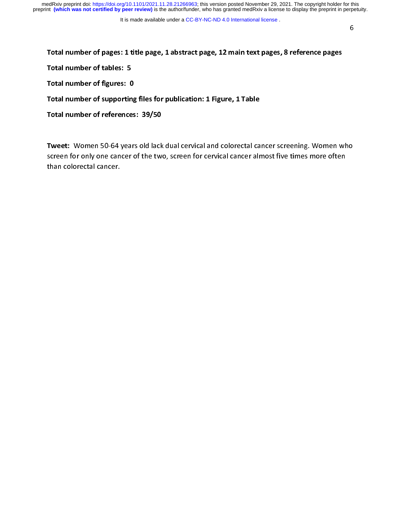Total number of tables: 5<br>Total number of tables: 5<br>Total number of figures: 0<br>Total number of supporting files for publication: 1 Figure, 1 Table Total number of figures: 0<br>Total number of supporting files for<br>Total number of references: 39/50 Total number of supporting<br>Total number of references<br>Total number of references

Total number of references: 39/50<br>Tweet: Women 50-64 years old lack dual cervical and colorectal can<br>screen for only one cancer of the two-screen for cervical cancer alr Total number of references: 2072<br>Tweet: Women 50-64 years old lack<br>screen for only one cancer of the twi<br>than colorectal cancer.  $\frac{1}{2}$ screen for only one cancer of the two, screen for cervical cancer almost five times more often<br>than colorectal cancer.  $\sum_{k=1}^{n}$  for only one cancer  $\sum_{k=1}^{n}$  the two, screen for cervical cancer almost five times more of the times more of times more of times more of times more of times more of times more of times more of times more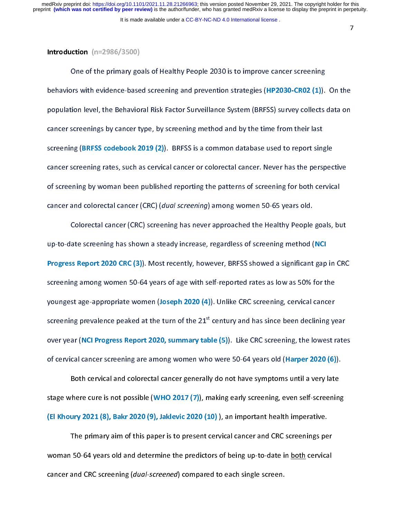7

Integrals of the primary got<br>
Dehaviors with evidence-base<br>
Depay and the Behavior one of the primary goals of the primary primary primary primary primary primary primary is to improve the primary screening and prevention strategies (HP2030-CR02 (1)). population level, the Behavioral Risk Factor Surveillance System (BRFSS) survey collects data on cancer screenings by cancer type, by screening method and by the time from their last screening (BRFSS codebook 2019  $(2)$ ). BRFSS is a common database used to report single cancer screening rates, such as cervical cancer or colorectal cancer. Never has the perspective of screening by woman been published reporting the patterns of screening for both cervical cancer and colorectal cancer (CRC) (dual screening) among women 50-65 years old.

Colorectal cancer (CRC) screening has never approached the Healthy People goals, but up-to-date screening has shown a steady increase, regardless of screening method (NCI) Progress Report 2020 CRC (3)). Most recently, however, BRFSS showed a significant gap in CRC<br>screening among women 50-64 years of age with self-reported rates as low as 50% for the expering among women 50-64 years of age with self-reported rates as low as 50% for the<br>youngest age-appropriate women (Joseph 2020 (4)). Unlike CRC screening, cervical cancer<br>screening provalence poaked at the turn of the screening among women self-reported range with self-reported rates as 60% for the rates.<br>Voungest age-appropriate women (Joseph 2020 (4)). Unlike CRC screening, cervical cancer screening prevalence peaked at the turn of the  $21<sup>st</sup>$  century and has since been declining year over year (NCI Progress Report 2020, summary table (5)). Like CRC screening, the lowest rates of cervical cancer screening are among women who were 50-64 years old (Harper 2020 (6)).<br>Both cervical and colorectal cancer generally do not have symptoms until a very late

Both cervical and colorectal cancer generally do not have symptoms until a very late<br>stage where cure is not possible (WHO 2017 (7)), making early screening, even self-screening<br>(FLKboury 2021 (8). Bakr 2020 (9), lakkwis 2 د المدين المسيني المسيني ويستعد .<br>here cure is not possible (WHO 2017 (7)), making early screening, even self-screening (El Khoury 2021 (8), Bakr 2020 (9), Jaklevic 2020 (10) ), an important health imperative.<br>The primary aim of this paper is to present cervical cancer and CRC screenings per

The primary aim of this paper is to present cervical cancer and CRC screenings pe<br>woman 50-64 years old and determine the predictors of being up-to-date in <u>both</u> cervica<br>cancer and CPC screening (dual screened) compared t The primary aim of this paper is to present cervical cancer and CRC screenings per<br>50-64 vears old and determine the predictors of being up-to-date in both cervical woman 50-64, years old and determine the predictors of being up-to-date in <u>detail</u>ed in the<br>cancer and CRC screening (dual-screened) compared to each single screen. cancer and CRC screening (dual-screened) compared to each single screen.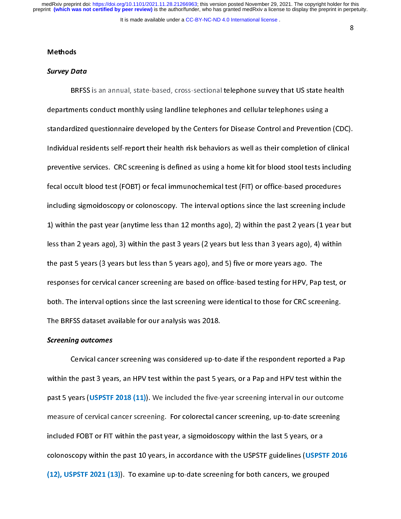8

# **Methods**

# Survey Data

Survey Do<br>BR<br>denartme BRFSS is an annual, state-based, cross-sectional telephone survey that US state health<br>departments conduct monthly using landline telephones and cellular telephones using a standardized questionnaire developed by the Centers for Disease Control and Prevention (CDC). Individual residents self-report their health risk behaviors as well as their completion of clinical preventive services. CRC screening is defined as using a home kit for blood stool tests including fecal occult blood test (FOBT) or fecal immunochemical test (FIT) or office-based procedures including sigmoidoscopy or colonoscopy. The interval options since the last screening include 1) within the past year (anytime less than 12 months ago), 2) within the past 2 years (1 year but less than 2 years ago), 3) within the past 3 years (2 years but less than 3 years ago), 4) within the past 5 years (3 years but less than 5 years ago), and 5) five or more years ago. The responses for cervical cancer screening are based on office-based testing for HPV, Pap test, or both. The interval options since the last screening were identical to those for CRC screening. The BRFSS dataset available for our analysis was 2018.

# the BRFS dataset available for our analysis was 2018.<br>Screening outcomes Screening outcomes

Cervical cancer screening was considered up-to-date if the respondent reported a Pap past 5 years (USPSTF 2018 (11)). We included the five-year screening interval in our outcome past 5 years (USPSTF 2018). The included the five-year screening, up-to-date screening<br>measure of cervical cancer screening. For colorectal cancer screening, up-to-date screening<br>included FOBT or FIT within the past year, س الله المسابق.<br>included FOBT or FIT within the past vear, a sigmoidoscopy within the last 5 vears, or a colonoscopy within the past 10 years, in accordance with the USPSTF guidelines (USPSTF 2016  $(12)$ , USPSTF 2021  $(13)$ ). To examine up-to-date screening for both cancers, we grouped  $\mathcal{L}(\mathcal{D})$  ,  $\mathcal{L}(\mathcal{D})$ . To examine up-to-date screening for both cancers, we group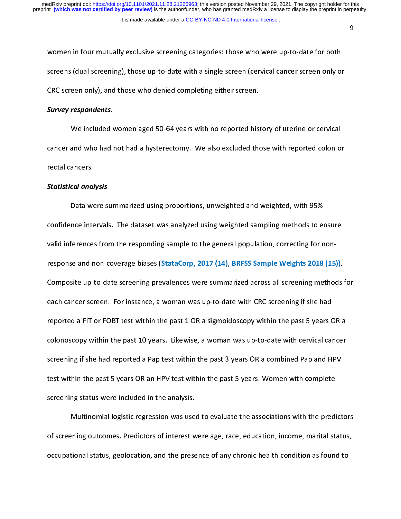9

women in four mutually exclusive screening categories: those who were up-to-date for both<br>screens (dual screening), those up-to-date with a single screen (cervical cancer screen only or CRC screen only), and those who denied completing either screen. CRC screen only), and those who denied completing either screen.

# Survey respondents.

We included women aged 50-64 years with no reported history of uterine or cervical<br>cancer and who had not had a hysterectomy. We also excluded those with reported colon or cancer and who had not had a hysterectomy. We also excluded those with reported colon or

# s<br>tatistical anal Statistical analysis

Data were summarized using proportions, unweighted and weighted, with 95%<br>confidence intervals. The dataset was analyzed using weighted sampling methods to ensure valid inferences from the responding sample to the general population, correcting for nonresponse and non-coverage biases (StataCorp, 2017  $(14)$ , BRFSS Sample Weights 2018  $(15)$ ). composite up-to-date screening prevalences were summarized across all screening methods<br>each cancer screen. For instance, a woman was up-to-date with CRC screening if she had<br>reported a FIT or FORT test within the past 1.0 Composite up-to-date screening prevalences were summarized across all screening methods for<br>each cancer screen. For instance, a woman was up-to-date with CRC screening if she had reported a FIT or FOBT test within the past 1 OR a sigmoidoscopy within the past 5 years OR a colonoscopy within the past 10 years. Likewise, a woman was up-to-date with cervical cancer screening if she had reported a Pap test within the past 3 years OR a combined Pap and HPV test within the past 5 years OR an HPV test within the past 5 years. Women with complete screening status were included in the analysis.

Multinomial logistic regression was used to evaluate the associations with the predictors of screening outcomes. Predictors of interest were age, race, education, income, marital status, occupational status, geolocation, and the presence of any chronic health condition as found to occupational status, geolocation, and the presence of any chronic health condition as found to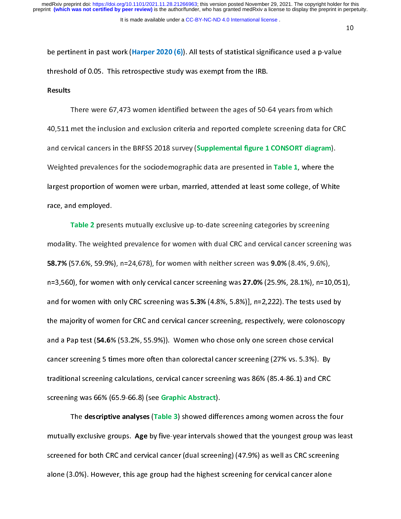10

be perturbed in particular terms in particular threshold of 0.05. This retrospective study was exempt from the IRB.<br>Results<br>There were 67.473 women identified between the ages of 50-64 vears from which threshold of 0.05. This retrospective study was exempt from the IRB.

سيدي<br>1<br>and.com  $\frac{7}{10}$  were the inclusion and exclusion criteria and reported complete screening data for 0. and cervical cancers in the BRFSS 2018 survey (Supplemental figure 1 CONSORT diagram). and cervical cancers in the BRFS 2018 cancer, (Supplemental figure 2 CONSORT).<br>Weighted prevalences for the sociodemographic data are presented in Table 1, where the<br>largest proportion of women were urban, married, attende Weighted proportion of women were urban, married, attended at least some college, of Whit<br>race, and employed.<br>Table 2, presents mutually exclusive un-to-date screening categories by screening largest proportion of women were urban, married, attended at least some college, of White<br>race, and employed. race, and employed.<br>**Table 2** presents mutually exclusive up-to-date screening categories by screening

Table 2 presents with 2 presents with the CRC and cervical cancer screening variations mutually exclusive up-to-date screening variations with screening variations with  $\frac{1}{2}$  and  $\frac{1}{2}$  and  $\frac{1}{2}$  and  $\frac{1}{2}$  modality. The weighted prevalence for women with dual creams cancer screening was<br>58.7% (57.6%, 59.9%), n=24.678), for women with neither screen was 9.0% (8.4%, 9.6%). n=3,560), for women with only cervical cancer screening was 27.0% (25.9%, 28.1%), n=10,051),<br>and for women with only CRC screening was 5.3% (4.8%, 5.8%)], n=2,222). The tests used by and for women with only CRC screening was 5.3% (4.8%, 5.8%)], n=2,222). The tests used by<br>the majority of women for CRC and cervical cancer screening, respectively, were colonoscopy<br>and a Pap test (54.6% (53.3%, 55.9%)). W and for women with only the strong was streening, respectively, were colonoscopy<br>the majority of women for CRC and cervical cancer screening, respectively, were colonoscopy<br>and a Pap test (54.6% (53.2%, 55.9%)). Women who and a Pap test  $(54.6\% (53.2\%, 55.9\%))$ . Women who chose only one screen chose cervical cancer screening 5 times more often than colorectal cancer screening (27% vs. 5.3%). By<br>traditional screening calculations, cervical cancer screening was 86% (85.4-86.1) and CRC<br>screening was 66% (65.9.66.8) (see Graphic A م سابق سے اپنے کی دی۔<br>traditional screening calculations, cervical cancer screening was 86% (85.4-86.1) and CRC screening was 66% (65.9-66.8) (see Graphic Abstract).

The descriptive analyses (Table 3) showed differentially exclusive groups. Age by five-year intervals showed differences of  $\overline{CPC}$  and convical cancer (dual screen In exclusive groups. Age by five-year intervals showed that the youngest group was lead<br>In the descriptive and different terms (Table 3) (AT.9%) as well as CRC screening<br>In the four show work the four and the four price of screened for both CRC and cervical cancer (dual screening) (47.9%) as well as CRC screening<br>alone (3.0%). However, this age group had the highest screening for cervical cancer alone screened for both CRC and CRC cancer (dual screening) (47.9%) as well as screening.<br>alone (3.0%). However, this age group had the highest screening for cervical cancer alone alone (3.0%). However, this age group had the highest screening for cervical cancer alone  $\alpha$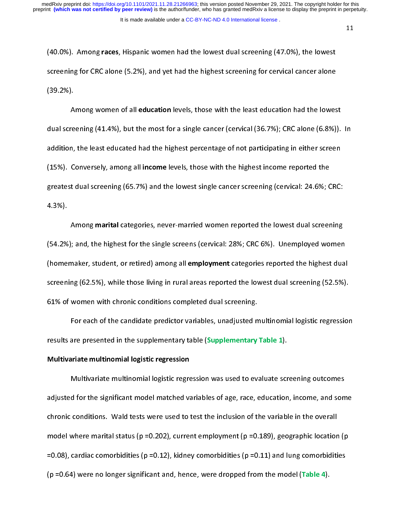11

(40.0%). Among **races**, Hispanic women had the lowest dual screening (47.0%), the lowest<br>screening for CRC alone (5.2%), and yet had the highest screening for cervical cancer alone<br>(39.2%).<br>Among women of all **education** l screening for  $\sim$   $\sim$   $\sim$   $\sim$   $\sim$  cervical cancer alone cancer alone cancer alone cancer alone cancer alone cancer alone cancer alone cancer alone cancer alone cancer alone cancer alone cancer alone cancer alone canc

 $A$ reening (41.4%), but the most for a single cancer (cervical (36.7%); CRC alone (6.8%)).<br>n, the least educated had the highest percentage of not participating in either screen<br>Conversely, among all **income** loyels, those wi dual screening (41.4%), but the most for a single cancer (36.7%), cancer, for alone (5.8%)). In<br>addition, the least educated had the highest percentage of not participating in either screen  $(15%)$ . Conversely, among all income levels, those with the highest income reported the greatest dual screening (65.7%) and the lowest single cancer screening (cervical: 24.6%; CRC:<br>4.3%).<br>Among **marital** categories, never-married women reported the lowest dual screening greatest dual screening (65.7%) and the lowest single cancer screening (cervical: 24.6%; CRC:<br>4.3%).

4.3%). among marital categories, and, the highest for the single screens (cervical: 28%; CRC 6%). Unemployed women waker, student, or retired) among all employment categories reported the highest dual screening (52.5%) (54.2%); and, the highest for the single screens (cervical: 20%); CRC 6%). Unemployed women<br>(homemaker, student, or retired) among all employment categories reported the highest dual screening (62.5%), while those living in rural areas reported the lowest dual screening (52.5%). 61% of women with chronic conditions completed dual screening.

For each of the candidate predictor variables, unadjusted multinomial logistic regression results are presented in the supplementary table (Supplementary Table 1).

Multivariate multinomial logistic regression<br>Multivariate multinomial logistic regression was used to evaluate screening outcomes Multivariate multinomial logistic regre<br>adjusted for the significant model matched va<br>chronic conditions - Wald tests were used to t سات<br>d for the significant model matched variables of age, race, education, income, and som chronic conditions. Wald tests were used to test the inclusion of the variable in the overall model where marital status (p = 0.202), current employment (p = 0.189), geographic location (p =0.08), cardiac comorbidities (p =0.12), kidney comorbidities (p =0.11) and lung comorbidities  $(p = 0.64)$  were no longer significant and, hence, were dropped from the model (Table 4). (p =0.64) were no longer significant and, hence, were dropped from the model (Table 4).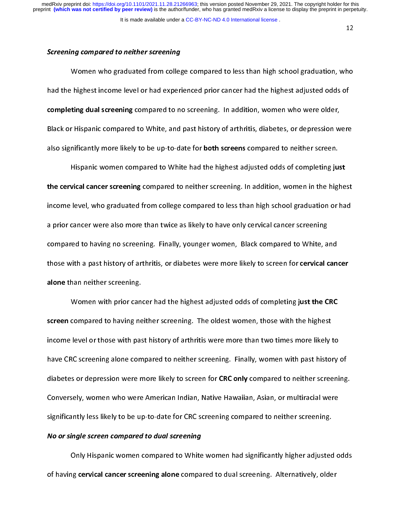12

# Screening compared to neither screening

Women who graduated from college compared to less than high school graduation, who<br>had the highest income level or had experienced prior cancer had the highest adjusted odds of completing dual screening compared to no screening. In addition, women who were older, Black or Hispanic compared to White, and past history of arthritis, diabetes, or depression were<br>also significantly more likely to be up-to-date for **both screens** compared to neither screen.<br>Hispanic women compared to Whi also significantly more likely to be up-to-date for both screens compared to neither screen.

Also significantly more likely to be up-to-date for both screen complete to both screen.<br>Hispanic women compared to White had the highest adjusted odds of completing ju:<br>the cervical cancer screening compared to neither sc Vical cancer screening compared to neither screening. In addition, women in the highe<br>level, who graduated from college compared to less than high school graduation or ha<br>cancer were also more than twice as likely to baye income level, who graduated from college compared to less than high school graduation or had a prior cancer were also more than twice as likely to have only cervical cancer screening compared to having no screening. Finally, younger women, Black compared to White, and those with a past history of arthritis, or diabetes were more likely to screen for cervical cancer alone than neither screening.<br>Women with prior cancer had the highest adjusted odds of completing just the CRC

Momen with prior can<br>screen compared to having ne<br>income lovel or those with pas Compared to having neither screening. The oldest women, those with the highest<br>level or those with past history of arthritis were more than two times more likely to<br>26 screening alone compared to peither screening. Finally income level or those with past history of arthritis were more than two times more likely to have CRC screening alone compared to neither screening. Finally, women with past history of diabetes or depression were more likely to screen for CRC only compared to neither screening. Conversely, women who were American Indian, Native Hawaiian, Asian, or multiracial were significantly less likely to be up-to-date for CRC screening compared to neither screening.

# significantly less likely to be up-to-date for CRC screening compared to dual screening. The compared to  $\frac{1}{2}$ No or single screen compared to dual screening

Only Hispanic women compared to White women had significantly higher adjusted odds<br>of having cervical cancer screening alone compared to dual screening. Alternatively, older of having cervical cancer screening alone compared to dual screening. Alternatively, older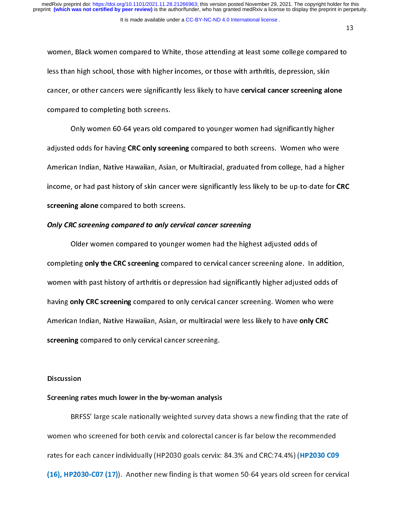women, Black women compared to White, those attending at least some college compared to<br>less than high school, those with higher incomes, or those with arthritis, depression, skin cancer, or other cancers were significantly less likely to have cervical cancer screening alone

compared to completing both screens.<br>
Only women 60-64 years old compared to younger women had significantly higher<br>
Odjusted odds for baying CPC only screening compared to both screens. Women who were compared to compared to compared to compare the compared to complete the complete screen screen to complete the<br>Compare of the compare of the screens. adjusted odds for having CRC only screening compared to both screens. Women who were American Indian, Native Hawaiian, Asian, or Multiracial, graduated from college, had a higher<br>income, or had past history of skin cancer were significantly less likely to be up-to-date for CR<br>screening alone compared to bo income, or had past history of skin cancer were significantly less likely to be up-to-date for CRC income, or had past history of standard to significantly less likely to be up-to-date for CRC<br>Screening alone compared to only cervical cancer screening<br>Older were a compared to vounger were had the bigbest adjusted odds o

# Only CRC screening compared to only cervical cancer screening

Only CRC screening compared to only cervic<br>Older women compared to younger<br>Completing only the CBC screening compare Older women compared to younger women had the highest adjusted odds of<br>completing only the CRC screening compared to cervical cancer screening alone. In addition, completing only the CRC screening compared to only cervical cancer screening. Women who were<br>American ladian, Native Hawaiian, Asian, or multicacial were loss likely to have only CPC. women with past theory of arthritis or depression had significantly higher adjusted odds on<br>having only CRC screening compared to only cervical cancer screening. Women who were American Indian, Native Hawaiian, Asian, or multiracial were less likely to have only CRC<br>screening compared to only cervical cancer screening. American Indian, American Indian, Native American Indian, Asian, and Indian, and Indian, and Indian, and Indian, and Indian, and Indian, and Indian, and Indian, and Indian, and Indian, and Indian, and Indian, and Indian, a

# screening compared to only certical cancer on cannot<br>Discussion<br>Screening rates much lower in the by-woman analysis  $\frac{1}{2}$

Screening rates much lower in the by-woman analysis<br>BRFSS' large scale nationally weighted survey data shows a new finding that the rate of BRFSS' large scale nationally weighted survey da<br>women who screened for both cervix and colorectal car<br>rates for each cancer individually (HP2030 goals cervix)  $B$  is the scale of the scale national survey of  $\frac{B}{B}$  who screened for both cervix and colorectal cancer is far below the recommended rates for each cancer individually (HP2030 goals cervix:  $84.3\%$  and CRC:74.4%) (HP2030 C09  $r$  (16), HP2030-C07 (17)). Another new finding is that women 50-64 years old screen for cervical  $\mathcal{L}(H)$ , HP2030-C07 (17), HP2030-C07 (17), Another new finding is that women  $\mathcal{L}(H)$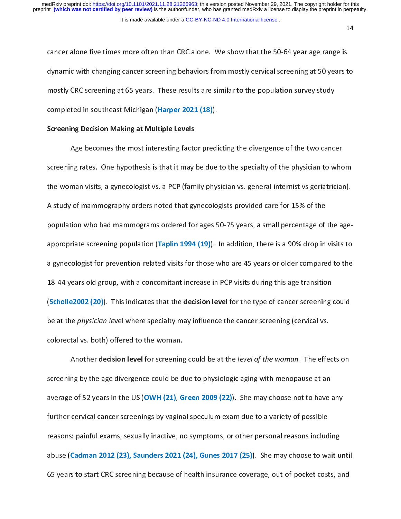14

cancer alone five times more often than CRC alone. We show that the 50-64 year age range is<br>dynamic with changing cancer screening behaviors from mostly cervical screening at 50 years to mostly CRC screening at 65 years. These results are similar to the population survey study completed in southeast Michigan (Harper 2021 (18)).

Screening Decision Making at Multiple Levels<br>Age becomes the most interesting factor predicting the divergence of the two cancer Age becomes the most interesting factor<br>screening rates. One hypothesis is that it may<br>the woman visits a gynecologist vs. a PCP (fam Age becomes the most interesting factor predicting the divergence of the thresh cancer.<br>The rates. One hypothesis is that it may be due to the specialty of the physician to who the woman visits, a gynecologist vs. a PCP (family physician vs. general internist vs geriatrician). A study of mammography orders noted that gynecologists provided care for 15% of the population who had mammograms ordered for ages 50-75 years, a small percentage of the ageappropriate screening population (Taplin 1994 (19)). In addition, there is a 90% drop in visits to a gynecologist for prevention-related visits for those who are 45 years or older compared to the 18-44 years old group, with a concomitant increase in PCP visits during this age transition (Scholle 2002 (20)). This indicates that the decision level for the type of cancer screening could be at the *physician level where specialty may influence the cancer screening (cervical vs.* colorectal vs. both) offered to the woman.

Another decision level for screening could be at the level of the woman. The effects on Another decision rever for screening could be at the level by the woman. The effects on<br>the age divergence could be due to physiologic aging with menopause at an<br>of 52 years in the US (OWH (21), Green 2009 (22)). She may c screening by the age of the age divergence could be divergence could be due to physiologic age average of 52 years in the US (OWH (21). Green 2009 (22)). She may choose not to have a are rage of 52 years in the US (OWH (22), Green 2009 (22), She may choose to have any<br>further cervical cancer screenings by vaginal speculum exam due to a variety of possible<br>reasons: painful exams, sexually inactive, no s  $\begin{bmatrix} 1 & 0 & 0 \end{bmatrix}$  further cervical cancer screenings by variety  $\begin{bmatrix} 1 & 0 \end{bmatrix}$  of  $\begin{bmatrix} 1 & 0 \end{bmatrix}$  of possible possible possible possible possible possible possible possible possible possible possible possibl abuse (Cadman 2012 (23), Saunders 2021 (24), Gunes 2017 (25)). She may choose to wait until 65 years to start CRC screening because of health insurance coverage, out-of-pocket costs, and 65 years to start CRC screening because of health insurance coverage, out-of-pocket costs, and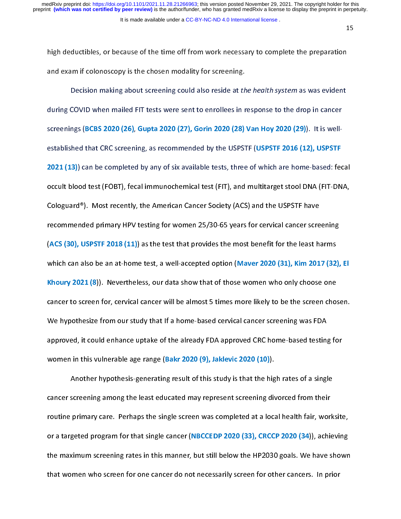15

high deductibles, or because of the time off from work necessary to complete the preparation<br>and exam if colonoscopy is the chosen modality for screening.

Decision making about screening could also reside at the health system as was evident during COVID when mailed FIT tests were sent to enrollees in response to the drop in cancer screenings (BCBS 2020 (26), Gupta 2020 (27), Gorin 2020 (28) Van Hoy 2020 (29)). It is wellestablished that CRC screening, as recommended by the USPSTF (USPSTF 2016 (12), USPSTF<br>2021 (13)) can be completed by any of six available tests, three of which are home-based: fecal established that CRC screening, as recommended by the USPSTF (CRC screen (12), USPSTF<br>2021 (13)) can be completed by any of six available tests, three of which are home-based: fer<br>occult blood test (FOBT), fecal immunochem 2021 (13)<br>2022 (13) occult blood test (FOBT), fecal immunochemical test (FIT), and multitarget stool DNA (FIT-DNA,<br>2010 Cologuard®). Most recently, the American Cancer Society (ACS) and the USPSTF have<br>2021 Cancer Screenin Cologuard<sup>®</sup>). Most recently, the American Cancer Society (ACS) and the USPSTF have recommended primary HPV testing for women 25/30-65 years for cervical cancer screening (ACS (30), USPSTF 2018 (11)) as the test that provides the most benefit for the least harms which can also be an at-home test, a well-accepted option (Maver 2020 (31), Kim 2017 (32), El<br>Khoury 2021 (8)). Nevertheless, our data show that of those women who only choose one Whoury 2021 (8)). Nevertheless, our data show that of those women who only choose one<br>cancer to screen for, cervical cancer will be almost 5 times more likely to be the screen chosen.<br>We hypothesize from our study that If Example 2021 (8)). Nevertheless, our about the choritance of those worked to be the screen chose<br>Cancer to screen for, cervical cancer will be almost 5 times more likely to be the screen chos<br>We hypothesize from our study We hypothesize from our study that If a home-based cervical cancer screening was FDA approved, it could enhance uptake of the already FDA approved CRC home-based testing for women in this vulnerable age range (Bakr 2020 (9), Jaklevic 2020 (10)).

Another hypothesis-generating result of this study is that the hig<br>cancer screening among the least educated may represent screening div<br>routine primary care. Perhans the single screen was completed at a location Another hypothesis-generating result of this study is that the high rates of a single routine primary care. Perhaps the single screen was completed at a local health fair, worksite, or a targeted program for that single cancer (NBCCEDP 2020 (33), CRCCP 2020 (34)), achieving or a targeted program for that single cancer (NBCCEDP 2020 (2020 2020 2020 (2021), achieving<br>the maximum screening rates in this manner, but still below the HP2030 goals. We have shown<br>that women who screen for one cancer the maximum screening rates in this manner, but still below the HP2030 goals. We have shown in<br>that women who screen for one cancer do not necessarily screen for other cancers. In prior that women who screen for one cancer do not necessarily screen for  $\mathcal{L}_\text{max}$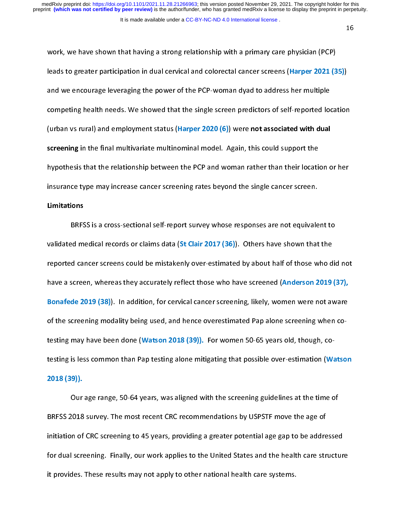16

work, we have shown that having a strong relationship with a primary care physician (PCP)<br>leads to greater participation in dual cervical and colorectal cancer screens (Harper 2021 (35)) and we encourage leveraging the power of the PCP-woman dyad to address her multiple<br>competing health needs. We showed that the single screen predictors of self-reported location<br>(urban us sural) and employment status (Harp and we encourage leveraging the power of the PCP-woman dyad to address her multiple<br>competing health needs. We showed that the single screen predictors of self-reported loc (urban vs rural) and employment status (Harper 2020  $(6)$ ) were not associated with dual screening in the final multivariate multinominal model. Again, this could support the hypothesis that the relationship between the PCP and woman rather than their location or her<br>insurance type may increase cancer screening rates beyond the single cancer screen.<br>Limitations insurance type may increase cancer screening rates beyond the single cancer screen. insurance type may increase cancer screening rates beyond the single cancer screen.

BRFS<br>validated me<br>renorted car ed medical records or claims data (St Clair 2017 (36)). Others have shown that the reported cancer screens could be mistakenly over-estimated by about half of those who did not have a screen, whereas they accurately reflect those who have screened (Anderson 2019 (37), Bonafede 2019 (38)). In addition, for cervical cancer screening, likely, women were not aware of the screening modality being used, and hence overestimated Pap alone screening when cotesting may have been done (Watson 2018 (39)). For women 50-65 years old, though, cotesting is less common than Pap testing alone mitigating that possible over-estimation (Watson<br>2018 (39)).

Our age range, 50-64 years, was aligned with the screening guidelines at the time of  $2018$ <br>BRFSS 2018 our age range, 50-64 years, was aligned with the screening guidelines at the time of<br>1018 survey. The most recent CRC recommendations by USPSTF move the age of initiation of CRC screening to 45 years, providing a greater potential age gap to be addressed for dual screening. Finally, our work applies to the United States and the health care structure it provides. These results may not apply to other national health care systems. it provides. These results may not apply to other national health care systems.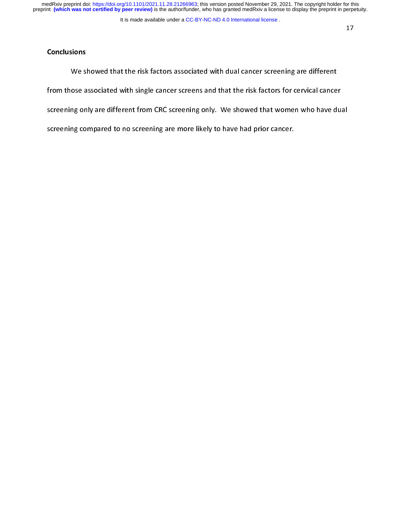medRxiv preprint doi: [https://doi.org/10.1101/2021.11.28.21266963;](https://doi.org/10.1101/2021.11.28.21266963) this version posted November 29, 2021. The copyright holder for this<br>preprint (which was not certified by peer review) is the author/funder, who has grante

# **Conclusions**

We sl<br>from those a<br>screening on ose associated with single cancer screens and that the risk factors for cervical cance<br> screening only are different from CRC screening only. We showed that women who have dual screening compared to no screening are more likely to have had prior cancer. screening compared to no screening are more likely to have had prior cancer.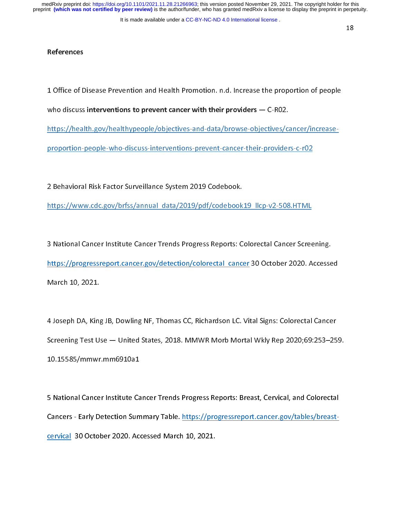It is made available under a CC-BY-NC-ND 4.0 International license.

# **References**

1 Office of Disease Prevention and Health Promotion. n.d. Increase the proportion of people  $\overline{\phantom{a}}$ 

who discuss interventions to prevent cancer with their providers  $-$  C-RO2.

https://health.gov/healthypeople/objectives-and-data/browse-objectives/cancer/increase-

proportion-people-who-discuss-interventions-prevent-cancer-their-providers-c-r02 proportion-people-who-discuss-interventions-prevent-cancer-their-providers-c-r02

 $\frac{1}{2}$ 

2 Behavioral Risk Factor Surveillance System 2019 Codebook.<br>https://www.cdc.gov/brfss/annual\_data/2019/pdf/codebook19\_llcp-v2-508.HTML https://www.cdc.gov/brfss/annual\_data/2019/pdf/codebook192-508.html  $\mu$ 

 $\frac{1}{2}$ 3 National Cancer Institute Cancer Trends Progress Reports: Colorectal Cancer Screening.<br>https://progressreport.cancer.gov/detection/colorectal cancer 30 October 2020. Accessed  $h(x) = 3$  October 30 October 30 October 30 October 30 October 30 October 30 October 30 October 30 October 30 October 30 October 30 October 30 October 30 October 30 October 30 October 30 October 30 October 30 October 30 Oct March 10, 2021.

 $\overline{a}$ 4 Joseph DA, King JB, Dowling NF, Thomas CC, Richardson LC. Vital Signs: Colorectal Cancer 10.15585/mmwr.mm6910a1 10.15585/mmwr.mm6910a1

 $\frac{1}{2}$ 5 National Cancer Institute Cancer Trends Progress Reports: Breast, Cervical, and Colorectal<br>Cancers - Early Detection Summary Table. https://progressreport.cancer.gov/tables/breastcervical 30 October 2020. Accessed March 10, 2021. <u>cervica</u>l 30 October 2020. Accessed March 10, 2021.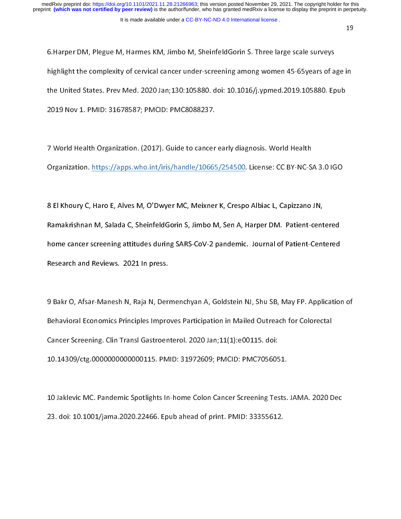# It is made available under a [CC-BY-NC-ND 4.0 International license](http://creativecommons.org/licenses/by-nc-nd/4.0/) .

6.Harper DM, Plegue M, Harmes KM, Jimbo M, SheinfeldGorin S. Three large scale surveys the United States. Prev Med. 2020 Jan;130:105880. doi: 10.1016/j.ypmed.2019.105880. Epub 2019 Nov 1. PMID: 31678587; PMCID: PMC8088237. 2019 Nov 1. PMID: 31678587; PMCID: PMC8088237.

 $\frac{1}{2}$ 7 World Health Organization. (2017). Guide to cancer early diagnosis. World Health<br>Organization. https://apps.who.int/iris/handle/10665/254500. License: CC BY-NC-SA 3.0 IGO Organization. https://apps.who.int/iris/handle/10665/254500. License: CC BY-NC-SA 3.0 IGO

 $\overline{\mathbf{r}}$ 8 El Khoury C, Haro E, Alves M, O'Dwyer MC, Meixner K, Crespo Albiac L, Capizzano JN, home cancer screening attitudes during SARS-CoV-2 pandemic. Journal of Patient-Centered Research and Reviews. 2021 In press. Research and Reviews. 2021 In press.

 $\frac{1}{2}$ 9 Bakr O, Afsar-Manesh N, Raja N, Dermenchyan A, Goldstein NJ, Shu SB, May FP. Application of Cancer Screening. Clin Transl Gastroenterol. 2020 Jan;11(1):e00115. doi: 10.14309/ctg.0000000000000115. PMID: 31972609; PMCID: PMC7056051.  $\frac{1}{300}$ 

 $\overline{\phantom{a}}$ 10 Jaklevic MC. Pandemic Spotlights In-home Colon Cancer Screening Tests. JAMA. 2020 Dec<br>23. doi: 10.1001/jama.2020.22466. Epub ahead of print. PMID: 33355612. 23. doi: 10.1001/jama.2020.22466. Epub ahead of print. PMID: 33355612.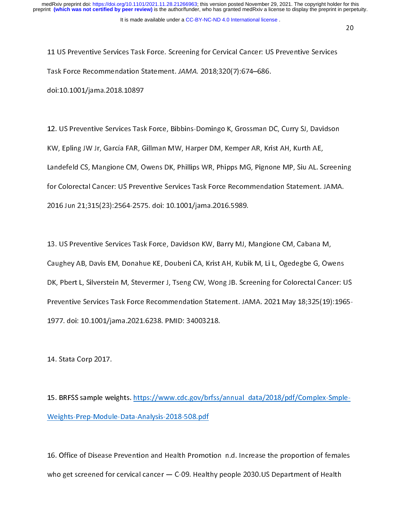20

11 US Preventive Services Task Force. Screening for Cervical Cancer: US Preventive Services<br>Task Force Recommendation Statement. JAMA. 2018;320(7):674–686.

doi:10.1001/jama. 2018. 10897 doi:10.1001/jama.2018.1001.<br>.

 $\overline{\phantom{a}}$ 12. US Preventive Services Task Force, Bibbins-Domingo K, Grossman DC, Curry SJ, Davidson<br>KW, Epling JW Jr. García FAR. Gillman MW. Harper DM. Kemper AR. Krist AH. Kurth AE. Landefeld CS, Mangione CM, Owens DK, Phillips WR, Phipps MG, Pignone MP, Siu AL. Screening for Colorectal Cancer: US Preventive Services Task Force Recommendation Statement. JAMA. for Colorectal Colorectal Colorectal Colorectal Colorectal Colorectal Colorectal Colorectal Colorectal Colorec  $2015(33)$ 

 $\overline{\phantom{a}}$ 13. US Preventive Services Task Force, Davidson KW, Barry MJ, Mangione CM, Cabana M, DK, Pbert L, Silverstein M, Stevermer J, Tseng CW, Wong JB. Screening for Colorectal Cancer: US Preventive Services Task Force Recommendation Statement. JAMA. 2021 May 18;325(19):1965-1977. doi: 10.1001/jama. 2021. 6238. PMID: 34003218. 1977. doi: 10.1001/jama.2021.6238. PMID: 34003218.

 $\overline{\phantom{a}}$ 14. Stata Corp 2017.

 $\overline{\phantom{a}}$ 15. BRFSS sample weights. https://www.cdc.gov/brfss/annual\_data/2018/pdf/Complex-Smple-Weights-Prep-Module-Data-Analysis-2018-508.pdf Weights-Prep-Module-Data-Analysis-2018-508.pdf

 $\frac{1}{2}$ 16. Office of Disease Prevention and Health Promotion n.d. Increase the proportion of females<br>who get screened for cervical cancer — C-09. Healthy people 2030.US Department of Health who get screened for cervical cancer  $\mathcal{L}_{\text{eff}}$  and  $\mathcal{L}_{\text{eff}}$  people  $\mathcal{L}_{\text{eff}}$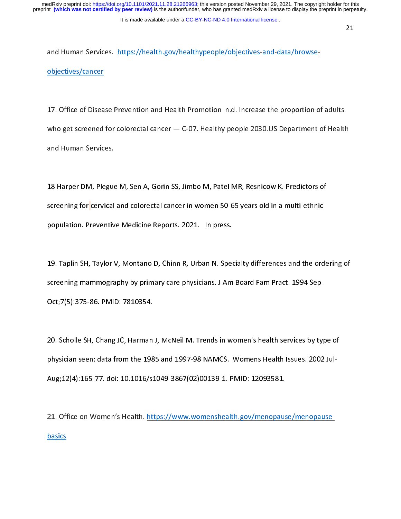and Human Services. https://health.gov/healthypeople/objectives-and-data/browseobjectives/cancer

17. Office of Disease Prevention and Health Promotion n.d. Increase the proportion of adults  $\frac{1}{2}$ who get screened for colorectal cancer  $-$  C-07. Healthy people 2030. US Department of Health who get screened for colorectal cancer — C-07. Healthy people 2030.US Department of Health.<br>and Human Services.

 $\overline{\phantom{a}}$ 18 Harper DM, Plegue M, Sen A, Gorin SS, Jimbo M, Patel MR, Resnicow K. Predictors of<br>screening for cervical and colorectal cancer in women 50-65 years old in a multi-ethnic population. Preventive Medicine Reports. 2021. In press. population. Preventive Medicine Reports. 2021. In press.

 $\overline{\phantom{a}}$ 19. Taplin SH, Taylor V, Montano D, Chinn R, Urban N. Specialty differences and the ordering of<br>screening mammography by primary care physicians. J Am Board Fam Pract. 1994 Sep-Oct; 7(5): 375-86. PMID: 7810354. October 2007, PMID: 7810354. PMID: 7810354. PMID: 7810354. PMID: 78104. PMID: 78104. PMID: 78104. PMID: 78104.

 $\frac{1}{2}$ 20. Scholle SH, Chang JC, Harman J, McNeil M. Trends in women's health services by type of<br>physician seen: data from the 1985 and 1997-98 NAMCS. Womens Health Issues. 2002 Jul-Aug; 12(4): 165-77. doi: 10.1016/s1049-3867(02)00139-1. PMID: 12093581.  $\mathcal{L}(\mathcal{A})$ 

 $\frac{1}{2}$ 21. Office on Women's Health. https://www.womenshealth.gov/menopause/menopause-201. Office on Women's Health. https://www.womenshealth.gov/menopause-menopause-menopause-menopause-menopause-<br>Distribution of the Menopause-menopause-menopause-menopause-menopause-menopause-menopause-menopause-menopausebasics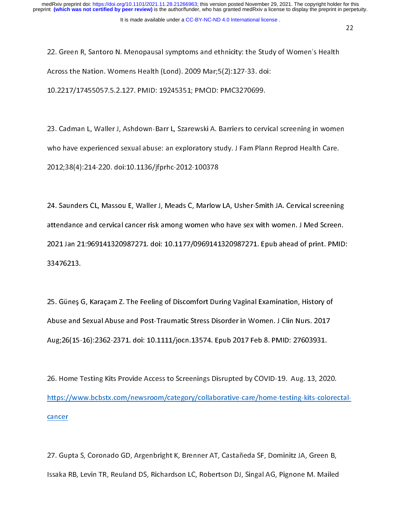22. Green R, Santoro N. Menopausal symptoms and ethnicity: the Study of Women's Health<br>Across the Nation. Womens Health (Lond). 2009 Mar;5(2):127-33. doi: 10.2217/17455057.5.2.127. PMID: 19245351; PMCID: PMC3270699.

10.2217/17455057.5.2.127. PMID: 19245351; PMCID: PMC3270699.

 $\frac{1}{2}$ 23. Cadman L, Waller J, Ashdown-Barr L, Szarewski A. Barriers to cervical screening in women 2012;38(4):214-220. doi:10.1136/jfprhc-2012-100378  $2012;38$ 

 $\frac{1}{2}$ 24. Saunders CL, Massou E, Waller J, Meads C, Marlow LA, Usher-Smith JA. Cervical screening<br>attendance and cervical cancer risk among women who have sex with women. J Med Screen. 2021 Jan 21:969141320987271. doi: 10.1177/0969141320987271. Epub ahead of print. PMID: 21:26911. 21:069141. doi: 10.117. doi: 10.117. epub ahead of print. PMID: 10.1177<br>33476213.

 $\frac{1}{2}$ 25. Güneş G, Karaçam Z. The Feeling of Discomfort During Vaginal Examination, History of Aug; 26(15-16): 2362-2371. doi: 10.1111/jocn. 13574. Epub 2017 Feb 8. PMID: 27603931. Aug;26(2): 26):2362-2371. doi: 10.11232-2573. Aug; 10.1111. The part 2021. Feb 8. PMID: 27603931.<br>...

 $\frac{1}{2}$ 26. Home Testing Kits Provide Access to Screenings Disrupted by COVID-19. Aug. 13, 2020.<br>https://www.bcbstx.com/newsroom/category/collaborative-care/home-testing-kits-colorectal- $\epsilon$ ancer $\epsilon$ cancer

 $\frac{1}{2}$ 27. Gupta S, Coronado GD, Argenbright K, Brenner AT, Castañeda SF, Dominitz JA, Green B,<br>Issaka RB, Levin TR, Reuland DS, Richardson LC, Robertson DJ, Singal AG, Pignone M. Mailed Issaka RB, Levin TR, Reuland DS, Richardson LC, Robertson DJ, Singal AG, Pignone M. Mailed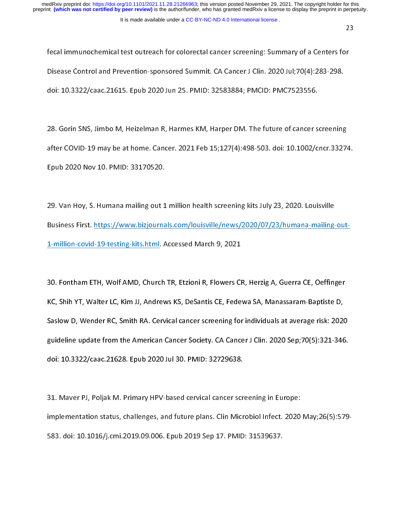fecal immunochemical test outreach for colorectal cancer screening: Summary of a Centers for<br>Disease Control and Prevention-sponsored Summit. CA Cancer J Clin. 2020 Jul;70(4):283-298. doi: 10.3322/caac.21615. Epub 2020 Jun 25. PMID: 32583884; PMCID: PMC7523556.  $\ddot{x}$ 

 $\frac{1}{2}$ 28. Gorin SNS, Jimbo M, Heizelman R, Harmes KM, Harper DM. The future of cancer screening<br>after COVID-19 may be at home. Cancer. 2021 Feb 15;127(4):498-503. doi: 10.1002/cncr.33274. Epub 2020 Nov 10. PMID: 33170520. Epub 2020 Nov 10. PMID: 33170520.

 $\frac{1}{2}$ 29. Van Hoy, S. Humana mailing out 1 million health screening kits July 23, 2020. Louisville<br>Business First. https://www.bizjournals.com/louisville/news/2020/07/23/humana-mailing-out-1-million-covid-19-testing-kits.html. Accessed March 9, 2021 <u>1-million-covid-19-testing-kits.html.</u> Accessed March 9, 2021

 $\frac{1}{2}$ 30. Fontham ETH, Wolf AMD, Church TR, Etzioni R, Flowers CR, Herzig A, Guerra CE, Oeffinger Saslow D, Wender RC, Smith RA. Cervical cancer screening for individuals at average risk: 2020 guideline update from the American Cancer Society. CA Cancer J Clin. 2020 Sep;70(5):321-346. doi: 10.3322/caac.21628. Epub 2020 Jul 30. PMID: 32729638. doi: 10.3322/caac.21628. Epub 2020 Jul 30. PMID: 32729638.

 $\frac{1}{2}$ 31. Maver PJ, Poljak M. Primary HPV-based cervical cancer screening in Europe:<br>implementation status, challenges, and future plans. Clin Microbiol Infect. 2020 May;26(5):579-583. doi: 10.1016/j.cmi.2019.09.006. Epub 2019 Sep 17. PMID: 31539637. 583. doi: 10.1016/j.cmi.2019.09.006. Epub 2019 Sep 17. PMID: 31539637.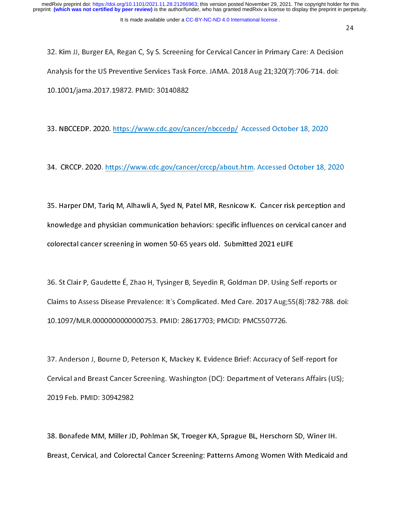32. Kim JJ, Burger EA, Regan C, Sy S. Screening for Cervical Cancer in Primary Care: A Decision<br>Analysis for the US Preventive Services Task Force. JAMA. 2018 Aug 21;320(7):706-714. doi: 10.1001/jama. 2017. 19872. PMID: 30140882 10.1001/jama.2017.19872. PMID: 30140882

 $\frac{1}{2}$ 33. NBCCED P. 2020. <u>2020. https://www.cdc.gov/cancer.gov/cancer.gov/</u> Accessed October 18, 2020.<br>.

 $\frac{1}{2}$ 34. Cancer . 2020. https://www.com/crcep/about.html . Accessed October 18, 2020. html . Accessed October 18, 20<br>2020. https://www.com/crcop/about.html . Accessed October 18, 2020. html . Accessed October 18, 2020. html . A

 $\frac{1}{2}$ 35. Harper DM, Tariq M, Alhawli A, Syed N, Patel MR, Resnicow K. Cancer risk perception and<br>knowledge and physician communication behaviors: specific influences on cervical cancer and colorectal cancer screening in women 50-65 years old. Submitted 2021 eLIFE colorectal cancer screening in women 50-65 years old. Submitted 2021 can be

 $\frac{1}{2}$ 36. St Claims , Jacobette E, Zhao H, T, Shigar E, Ca, Seneman, Sectional P, Claims to Assess Disease Prevalence: It's Complicated. Med Care. 2017 Aug:55(8):782-788. ( Claims to Assess Disease Prevalence: It's Complicated. Med Care. 2017 Aug;55(8):782-788. doi:<br>10.1097/MLR.000000000000753. PMID: 28617703: PMCID: PMC5507726. 10.1097/MLR.0000000000000753. PMID: 28617703; PMCID: PMC5507726.

 $\frac{1}{2}$ 37. Anderson J, Bourne D, Peterson K, Mackey K. Evidence Brief: Accuracy of Self-report for<br>Cervical and Breast Cancer Screening. Washington (DC): Department of Veterans Affairs (US);  $\begin{array}{ccccc} \texttt{C} & \texttt{C} & \texttt{C} & \texttt{C} & \texttt{C} \ \texttt{C} & \texttt{C} & \texttt{C} & \texttt{C} & \texttt{C} \ \texttt{C} & \texttt{D} & \texttt{C} & \texttt{D} & \texttt{C} \ \texttt{C} & \texttt{D} & \texttt{D} & \texttt{D} & \texttt{C} & \texttt{C} \ \texttt{D} & \texttt{D} & \texttt{D} & \texttt{D} & \texttt{D} & \texttt{C} \ \texttt{D} & \texttt{D} & \texttt{D} & \text$ 

 $\frac{1}{2}$ 38. Bonafede MM, Miller JD, Pohlman SK, Troeger KA, Sprague BL, Herschorn SD, Winer IH. Breast, Cervical, and Colorectal Cancer Screening: Patterns Among Women With Medicaid and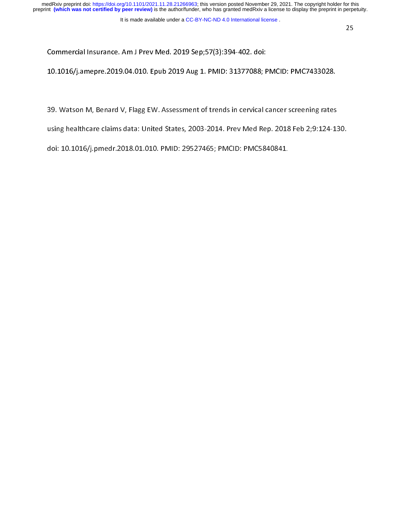Commercial Insurance. Am J Prev Med. 2019 Sep;57(3):394-402. doi:<br>10.1016/j.amepre.2019.04.010. Epub 2019 Aug 1. PMID: 31377088; PMCID: PMC7433028. 10.1016/j.amepre.2019.04.010. Epub 2019 Aug 1. PMID: 31377088; PMCID: PMC7433028.

 $\frac{1}{2}$ 

39. Watson M, Benard V, Flagg EW. Assessment of trends in cervical cancer screening rates<br>using healthcare claims data: United States, 2003-2014. Prev Med Rep. 2018 Feb 2;9:124-130.

doi: 10.1016/j.pmedr.2018.01.010. PMID: 29527465; PMCID: PMC5840841. doi: 10.1016/j.pmedr.2018.1018. PMD: 29627465; PMOD: PMC6840841.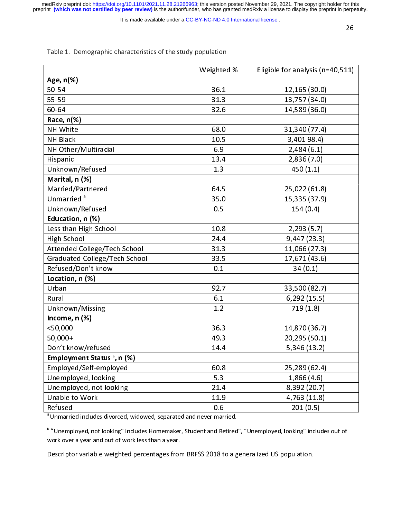medRxiv preprint doi: [https://doi.org/10.1101/2021.11.28.21266963;](https://doi.org/10.1101/2021.11.28.21266963) this version posted November 29, 2021. The copyright holder for this<br>preprint (which was not certified by peer review) is the author/funder, who has grante

It is made available under a [CC-BY-NC-ND 4.0 International license](http://creativecommons.org/licenses/by-nc-nd/4.0/) .

|                                                                                 | Weighted % | Eligible for analysis (n=40,511) |
|---------------------------------------------------------------------------------|------------|----------------------------------|
| Age, n(%)                                                                       |            |                                  |
| 50-54                                                                           | 36.1       | 12, 165 (30.0)                   |
| 55-59                                                                           | 31.3       | 13,757 (34.0)                    |
| 60-64                                                                           | 32.6       | 14,589 (36.0)                    |
| Race, n(%)                                                                      |            |                                  |
| NH White                                                                        | 68.0       | 31,340 (77.4)                    |
| <b>NH Black</b>                                                                 | 10.5       | 3,40198.4)                       |
| NH Other/Multiracial                                                            | 6.9        | 2,484(6.1)                       |
| Hispanic                                                                        | 13.4       | 2,836(7.0)                       |
| Unknown/Refused                                                                 | 1.3        | 450(1.1)                         |
| Marital, n (%)                                                                  |            |                                  |
| Married/Partnered                                                               | 64.5       | 25,022 (61.8)                    |
| Unmarried <sup>a</sup>                                                          | 35.0       | 15,335 (37.9)                    |
| Unknown/Refused                                                                 | 0.5        | 154(0.4)                         |
| Education, n (%)                                                                |            |                                  |
| Less than High School                                                           | 10.8       | 2,293(5.7)                       |
| High School                                                                     | 24.4       | 9,447(23.3)                      |
| Attended College/Tech School                                                    | 31.3       | 11,066 (27.3)                    |
| <b>Graduated College/Tech School</b>                                            | 33.5       | 17,671 (43.6)                    |
| Refused/Don't know                                                              | 0.1        | 34(0.1)                          |
| Location, n (%)                                                                 |            |                                  |
| Urban                                                                           | 92.7       | 33,500 (82.7)                    |
| Rural                                                                           | 6.1        | 6,292(15.5)                      |
| Unknown/Missing                                                                 | 1.2        | 719(1.8)                         |
| Income, n (%)                                                                   |            |                                  |
| $<$ 50,000                                                                      | 36.3       | 14,870 (36.7)                    |
| 50,000+                                                                         | 49.3       | 20,295 (50.1)                    |
| Don't know/refused                                                              | 14.4       | 5,346 (13.2)                     |
| Employment Status b, n (%)                                                      |            |                                  |
| Employed/Self-employed                                                          | 60.8       | 25,289 (62.4)                    |
| Unemployed, looking                                                             | 5.3        | 1,866(4.6)                       |
| Unemployed, not looking                                                         | 21.4       | 8,392 (20.7)                     |
| Unable to Work                                                                  | 11.9       | 4,763 (11.8)                     |
| Refused                                                                         | 0.6        | 201(0.5)                         |
| <sup>a</sup> Unmarried includes divorced, widowed, separated and never married. |            |                                  |

# Table 1. Demographic characteristics of the study population

"Unmarried includes divorced, widowed, separated and never married.<br>.

Unemployed, not looking "includes Homemaker, Student and Retired", "Unemployed, looking" includes out of work over a year and out of work less than a year.

Descriptor variable weighted percentages from BRFSS 2018 to a generalized US population.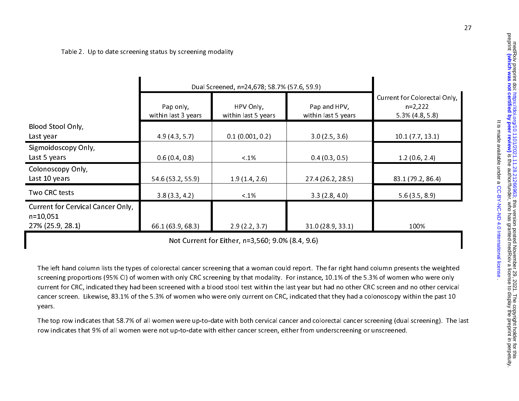Table 2. Up to date screening status by screening modality

|                                                                              |                                  | Dual Screened, n=24,678; 58.7% (57.6, 59.9)                             |                   |                   |  |  |
|------------------------------------------------------------------------------|----------------------------------|-------------------------------------------------------------------------|-------------------|-------------------|--|--|
|                                                                              | Pap only,<br>within last 3 years | HPV Only,<br>Pap and HPV,<br>within last 5 years<br>within last 5 years |                   |                   |  |  |
| Blood Stool Only,                                                            |                                  |                                                                         |                   |                   |  |  |
| Last year                                                                    | 4.9(4.3, 5.7)                    | 0.1(0.001, 0.2)                                                         | 3.0(2.5, 3.6)     | 10.1(7.7, 13.1)   |  |  |
| Sigmoidoscopy Only,<br>Last 5 years                                          | 0.6(0.4, 0.8)                    | $< 1\%$                                                                 | 0.4(0.3, 0.5)     | 1.2(0.6, 2.4)     |  |  |
| Colonoscopy Only,<br>Last 10 years                                           | 54.6 (53.2, 55.9)                | 1.9(1.4, 2.6)                                                           | 27.4 (26.2, 28.5) | 83.1 (79.2, 86.4) |  |  |
| Two CRC tests                                                                | 3.8(3.3, 4.2)                    | $< 1\%$                                                                 | 3.3(2.8, 4.0)     | 5.6(3.5, 8.9)     |  |  |
| <b>Current for Cervical Cancer Only,</b><br>$n = 10,051$<br>27% (25.9, 28.1) | 66.1 (63.9, 68.3)                | 2.9(2.2, 3.7)                                                           | 31.0 (28.9, 33.1) | 100%              |  |  |

Not Current for Either, n=3,560; 9.0% (8.4, 9.6)

The left hand column lists the types of colorectal cancer screening that a woman could report. The far right hand column presents the weighted screening proportions (95% CI) of women with only CRC screening by that modality. For instance, 10.1% of the 5.3% of women who were only current for CRC, indicated they had been screened with a blood stool test within the last year but had no other CRC screen and no other cervical cancer screen. Likewise, 83.1% of the 5.3% of women who were only current on CRC, indicated that they had a colonoscopy within the past 10 years.

The top row indicates that 58.7% of all women were up-to-date with both cervical cancer and colorectal cancer screening (dual screening). The last row indicates that 9% of all women were not up-to-date with either cancer screen, either from underscreening or unscreened.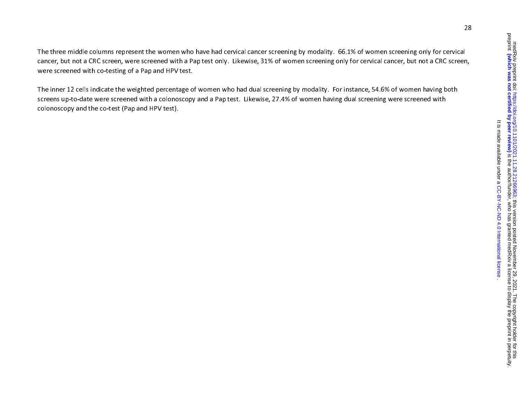medRxiv preprint doi: https://doi.org/10.1101/2021.11.28.21266963; this version posted November 29, 2021. The copyright holder for this<br>preprint **(which was not certified by peer review)** is the author/funder, who has gran is the presult of the authory funder medical state to display is the author/funder, she seeked and prepriated by peer redsignation in perception the preprint in perceptive defined by peer redsignation of  $\alpha$  and  $\alpha$  is t The copyright holder for this includer for this version posted November 29, 2021. The copyright holder for this It is made available under a CC-BY-NC-ND 4.0 International license . [CC-BY-NC-ND 4.0 International license](http://creativecommons.org/licenses/by-nc-nd/4.0/) It is made available under a

The three middle columns represent the women who have had cervical cancer screening by modality. 66.1% of women screening only for cervical cancer, but not a CRC screen, were screened with a Pap test only. Likewise, 31% of women screening only for cervical cancer, but not a CRC screen, were screened with co-testing of a Pap and HPV test.

The inner 12 cells indicate the weighted percentage of women who had dual screening by modality. For instance, 54.6% of women having both screens up-to-date were screened with a colonoscopy and a Pap test. Likewise, 27.4% of women having dual screening were screened with colonoscopy and the co-test (Pap and HPV test).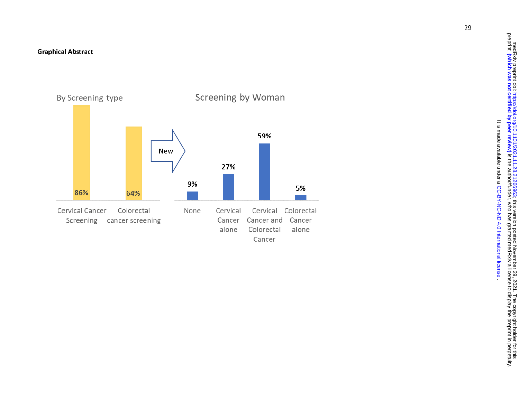

The copyright holder for this includer for this version posted November 29, 2021. The copyright holder for this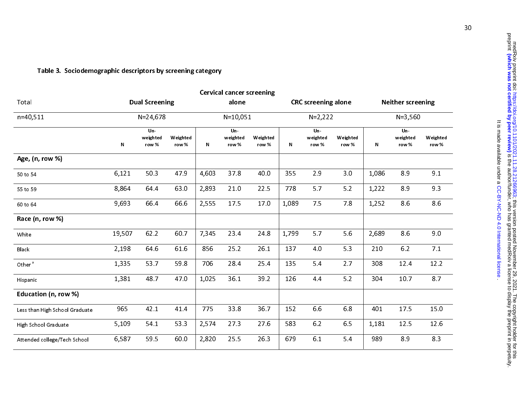| <b>Cervical cancer screening</b> |                          |                   |              |                          |                   |              |                            |                   |                                         |                             |                   |  |
|----------------------------------|--------------------------|-------------------|--------------|--------------------------|-------------------|--------------|----------------------------|-------------------|-----------------------------------------|-----------------------------|-------------------|--|
| <b>Dual Screening</b>            |                          |                   | alone        |                          |                   |              |                            |                   | <b>Neither screening</b>                |                             |                   |  |
| $N = 24,678$                     |                          |                   | $N = 10,051$ |                          |                   |              |                            |                   | $N = 3,560$                             |                             |                   |  |
| N                                | Un-<br>weighted<br>row % | Weighted<br>row % | N            | Un-<br>weighted<br>row % | Weighted<br>row % | $\mathsf{N}$ | $Un-$<br>weighted<br>row % | Weighted<br>row % | $\mathsf{N}$                            | $Un -$<br>weighted<br>row % | Weighted<br>row % |  |
|                                  |                          |                   |              |                          |                   |              |                            |                   |                                         |                             |                   |  |
| 6,121                            | 50.3                     | 47.9              | 4,603        | 378                      | 40.0              | 355          | 2.9                        | 3.0               | 1,086                                   | 89                          | 9.1               |  |
| 8,864                            | 64 4                     | 63.0              | 2,893        | 21.0                     | 22.5              | 778          | 5.7                        | 5.2               | 1,222                                   | 89                          | 9.3               |  |
| 9,693                            | 66.4                     | 66.6              | 2,555        | 17.5                     | 17.0              | 1,089        | 75                         | 78                | 1,252                                   | 86                          | 8.6               |  |
|                                  |                          |                   |              |                          |                   |              |                            |                   |                                         |                             |                   |  |
| 19,507                           | 62.2                     | 60 7              | 7,345        | 23.4                     | 248               | 1,799        | 5.7                        | 5.6               | 2,689                                   | 8.6                         | 9.0               |  |
| 2,198                            | 64.6                     | 61 6              | 856          | 25.2                     | 26.1              | 137          | 4.0                        | 53                | 210                                     | 6.2                         | 7.1               |  |
| 1,335                            | 53.7                     | 59.8              | 706          | 28.4                     | 25.4              | 135          | 5.4                        | 2.7               | 308                                     | 12.4                        | 12.2              |  |
| 1,381                            | 48.7                     | 47.0              | 1,025        | 36.1                     | 39.2              | 126          | 4.4                        | 5.2               | 304                                     | 10.7                        | 87                |  |
|                                  |                          |                   |              |                          |                   |              |                            |                   |                                         |                             |                   |  |
| 965                              | 42.1                     | 41.4              | 775          | 33.8                     | 36.7              | 152          | 6.6                        | 6.8               | 401                                     | 175                         | 15.0              |  |
| 5,109                            | 54 1                     | 53.3              | 2,574        | 273                      | 27.6              | 583          | 6.2                        | 6.5               | 1,181                                   | 12.5                        | 12.6              |  |
| 6,587                            | 59.5                     | 60.0              | 2,820        | 25.5                     | 26.3              | 679          | 6.1                        | 5.4               | 989                                     | 8.9                         | 8.3               |  |
|                                  |                          |                   |              |                          |                   |              |                            |                   | <b>CRC</b> screening alone<br>$N=2,222$ |                             |                   |  |

# Table 3. Sociodemographic descriptors by screening category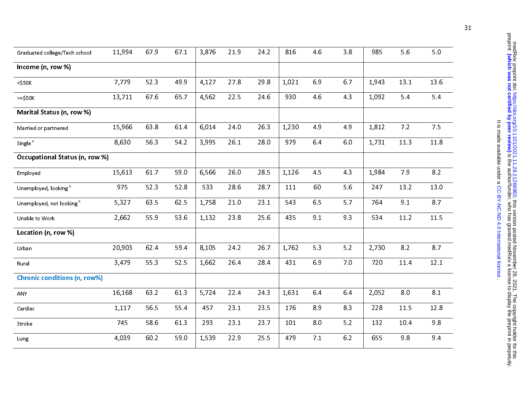| Graduated college/Tech school       | 11,994 | 67.9 | 671  | 3,876 | 21.9 | 24.2 | 816   | 4.6 | 3.8 | 985   | 5.6  | 5.0  |
|-------------------------------------|--------|------|------|-------|------|------|-------|-----|-----|-------|------|------|
| Income (n, row %)                   |        |      |      |       |      |      |       |     |     |       |      |      |
| $<$ \$50 $K$                        | 7,779  | 52.3 | 49.9 | 4,127 | 278  | 29.8 | 1,021 | 6.9 | 6.7 | 1,943 | 13.1 | 13.6 |
| $>=$ \$50K                          | 13,711 | 676  | 65.7 | 4,562 | 22.5 | 24.6 | 930   | 4.6 | 43  | 1,092 | 5.4  | 5.4  |
| Marital Status (n, row %)           |        |      |      |       |      |      |       |     |     |       |      |      |
| Married or partnered                | 15,966 | 638  | 61.4 | 6,014 | 24.0 | 26.3 | 1,230 | 4.9 | 49  | 1,812 | 7.2  | 7.5  |
| Single <sup>a</sup>                 | 8,630  | 56.3 | 54 2 | 3,995 | 26.1 | 28.0 | 979   | 6.4 | 6.0 | 1,731 | 11.3 | 11.8 |
| Occupational Status (n, row %)      |        |      |      |       |      |      |       |     |     |       |      |      |
| Employed                            | 15,613 | 617  | 59.0 | 6,566 | 26.0 | 28.5 | 1,126 | 45  | 4.3 | 1,984 | 7.9  | 8.2  |
| Unemployed, looking b               | 975    | 52.3 | 52 8 | 533   | 28.6 | 287  | 111   | 60  | 5.6 | 247   | 13.2 | 13.0 |
| Unemployed, not looking b           | 5,327  | 63.5 | 62.5 | 1,758 | 21.0 | 23.1 | 543   | 6.5 | 5.7 | 764   | 9.1  | 8.7  |
| Unable to Work                      | 2,662  | 55.9 | 53.6 | 1,132 | 23.8 | 25.6 | 435   | 9.1 | 93  | 534   | 11.2 | 11.5 |
| Location (n, row %)                 |        |      |      |       |      |      |       |     |     |       |      |      |
| Urban                               | 20,903 | 62.4 | 594  | 8,105 | 24.2 | 267  | 1,762 | 5.3 | 5.2 | 2,730 | 8.2  | 8.7  |
| Rural                               | 3,479  | 55.3 | 52.5 | 1,662 | 26.4 | 284  | 431   | 6.9 | 70  | 720   | 11.4 | 12.1 |
| <b>Chronic conditions (n, row%)</b> |        |      |      |       |      |      |       |     |     |       |      |      |
| ANY                                 | 16,168 | 63.2 | 61.3 | 5,724 | 22.4 | 24.3 | 1,631 | 6.4 | 6.4 | 2,052 | 8.0  | 8.1  |
| Cardiac                             | 1,117  | 56.5 | 55 4 | 457   | 23.1 | 23.5 | 176   | 8.9 | 8.3 | 228   | 11.5 | 12.8 |
| <b>Stroke</b>                       | 745    | 58.6 | 61.3 | 293   | 23.1 | 23.7 | 101   | 8.0 | 5.2 | 132   | 10.4 | 9.8  |
| Lung                                | 4,039  | 60.2 | 59.0 | 1,539 | 22.9 | 25.5 | 479   | 7.1 | 6.2 | 655   | 9.8  | 94   |

. [CC-BY-NC-ND 4.0 International license](http://creativecommons.org/licenses/by-nc-nd/4.0/) It is made available under a